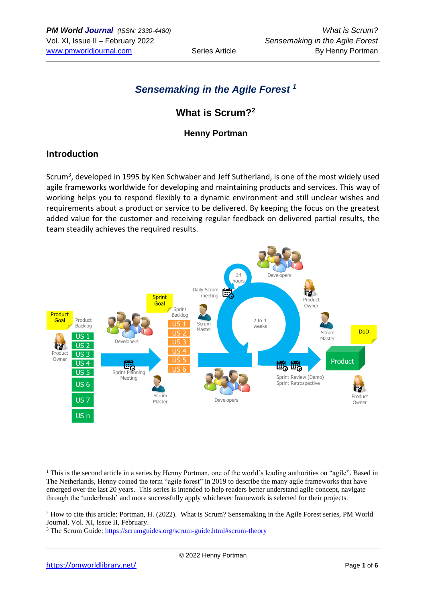## *Sensemaking in the Agile Forest <sup>1</sup>*

## **What is Scrum?<sup>2</sup>**

#### **Henny Portman**

### **Introduction**

Scrum<sup>3</sup>, developed in 1995 by Ken Schwaber and Jeff Sutherland, is one of the most widely used agile frameworks worldwide for developing and maintaining products and services. This way of working helps you to respond flexibly to a dynamic environment and still unclear wishes and requirements about a product or service to be delivered. By keeping the focus on the greatest added value for the customer and receiving regular feedback on delivered partial results, the team steadily achieves the required results.



<sup>&</sup>lt;sup>1</sup> This is the second article in a series by Henny Portman, one of the world's leading authorities on "agile". Based in The Netherlands, Henny coined the term "agile forest" in 2019 to describe the many agile frameworks that have emerged over the last 20 years. This series is intended to help readers better understand agile concept, navigate through the 'underbrush' and more successfully apply whichever framework is selected for their projects.

<sup>&</sup>lt;sup>2</sup> How to cite this article: Portman, H. (2022). What is Scrum? Sensemaking in the Agile Forest series, PM World Journal, Vol. XI, Issue II, February.

<sup>3</sup> The Scrum Guide:<https://scrumguides.org/scrum-guide.html#scrum-theory>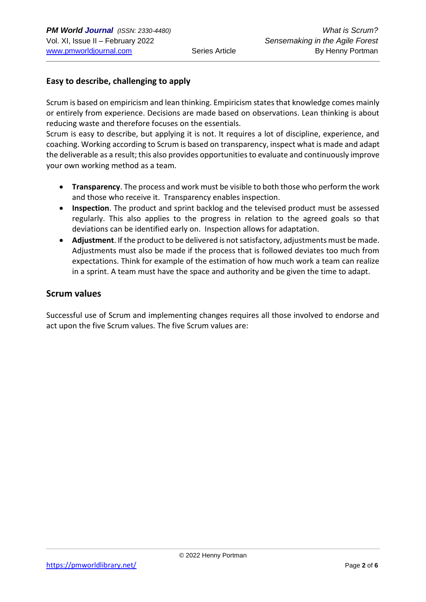#### **Easy to describe, challenging to apply**

Scrum is based on empiricism and lean thinking. Empiricism states that knowledge comes mainly or entirely from experience. Decisions are made based on observations. Lean thinking is about reducing waste and therefore focuses on the essentials.

Scrum is easy to describe, but applying it is not. It requires a lot of discipline, experience, and coaching. Working according to Scrum is based on transparency, inspect what is made and adapt the deliverable as a result; this also provides opportunities to evaluate and continuously improve your own working method as a team.

- **Transparency**. The process and work must be visible to both those who perform the work and those who receive it. Transparency enables inspection.
- **Inspection**. The product and sprint backlog and the televised product must be assessed regularly. This also applies to the progress in relation to the agreed goals so that deviations can be identified early on. Inspection allows for adaptation.
- **Adjustment**. If the product to be delivered is not satisfactory, adjustments must be made. Adjustments must also be made if the process that is followed deviates too much from expectations. Think for example of the estimation of how much work a team can realize in a sprint. A team must have the space and authority and be given the time to adapt.

#### **Scrum values**

Successful use of Scrum and implementing changes requires all those involved to endorse and act upon the five Scrum values. The five Scrum values are: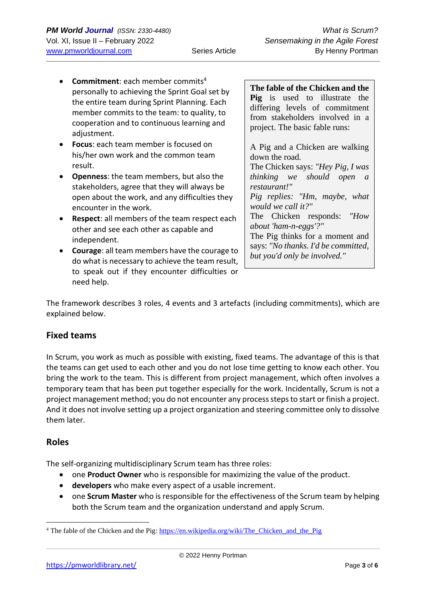- **Commitment**: each member commits<sup>4</sup> personally to achieving the Sprint Goal set by the entire team during Sprint Planning. Each member commits to the team: to quality, to cooperation and to continuous learning and adiustment.
- **Focus**: each team member is focused on his/her own work and the common team result.
- **Openness**: the team members, but also the stakeholders, agree that they will always be open about the work, and any difficulties they encounter in the work.
- **Respect:** all members of the team respect each other and see each other as capable and independent.
- **Courage**: all team members have the courage to do what is necessary to achieve the team result, to speak out if they encounter difficulties or need help.

**The fable of the Chicken and the Pig** is used to illustrate the differing levels of commitment from stakeholders involved in a project. The basic fable runs:

A Pig and a Chicken are walking down the road.

The Chicken says: *"Hey Pig, I was thinking we should open a restaurant!"*

*Pig replies: "Hm, maybe, what would we call it?"*

The Chicken responds: *"How about 'ham-n-eggs'?"*

The Pig thinks for a moment and says: *"No thanks. I'd be committed, but you'd only be involved."*

The framework describes 3 roles, 4 events and 3 artefacts (including commitments), which are explained below.

### **Fixed teams**

In Scrum, you work as much as possible with existing, fixed teams. The advantage of this is that the teams can get used to each other and you do not lose time getting to know each other. You bring the work to the team. This is different from project management, which often involves a temporary team that has been put together especially for the work. Incidentally, Scrum is not a project management method; you do not encounter any process steps to start or finish a project. And it does not involve setting up a project organization and steering committee only to dissolve them later.

### **Roles**

The self-organizing multidisciplinary Scrum team has three roles:

- one **Product Owner** who is responsible for maximizing the value of the product.
- **developers** who make every aspect of a usable increment.
- one **Scrum Master** who is responsible for the effectiveness of the Scrum team by helping both the Scrum team and the organization understand and apply Scrum.

<sup>&</sup>lt;sup>4</sup> The fable of the Chicken and the Pig[: https://en.wikipedia.org/wiki/The\\_Chicken\\_and\\_the\\_Pig](https://en.wikipedia.org/wiki/The_Chicken_and_the_Pig)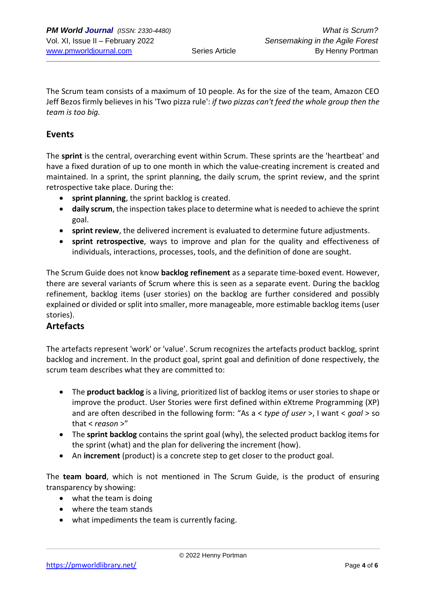The Scrum team consists of a maximum of 10 people. As for the size of the team, Amazon CEO Jeff Bezos firmly believes in his 'Two pizza rule': *if two pizzas can't feed the whole group then the team is too big.*

#### **Events**

The **sprint** is the central, overarching event within Scrum. These sprints are the 'heartbeat' and have a fixed duration of up to one month in which the value-creating increment is created and maintained. In a sprint, the sprint planning, the daily scrum, the sprint review, and the sprint retrospective take place. During the:

- **sprint planning**, the sprint backlog is created.
- **daily scrum**, the inspection takes place to determine what is needed to achieve the sprint goal.
- **sprint review**, the delivered increment is evaluated to determine future adjustments.
- **sprint retrospective**, ways to improve and plan for the quality and effectiveness of individuals, interactions, processes, tools, and the definition of done are sought.

The Scrum Guide does not know **backlog refinement** as a separate time-boxed event. However, there are several variants of Scrum where this is seen as a separate event. During the backlog refinement, backlog items (user stories) on the backlog are further considered and possibly explained or divided or split into smaller, more manageable, more estimable backlog items (user stories).

#### **Artefacts**

The artefacts represent 'work' or 'value'. Scrum recognizes the artefacts product backlog, sprint backlog and increment. In the product goal, sprint goal and definition of done respectively, the scrum team describes what they are committed to:

- The **product backlog** is a living, prioritized list of backlog items or user stories to shape or improve the product. User Stories were first defined within eXtreme Programming (XP) and are often described in the following form: "As a < *type of user* >, I want < *goal* > so that < *reason* >"
- The **sprint backlog** contains the sprint goal (why), the selected product backlog items for the sprint (what) and the plan for delivering the increment (how).
- An **increment** (product) is a concrete step to get closer to the product goal.

The **team board**, which is not mentioned in The Scrum Guide, is the product of ensuring transparency by showing:

- what the team is doing
- where the team stands
- what impediments the team is currently facing.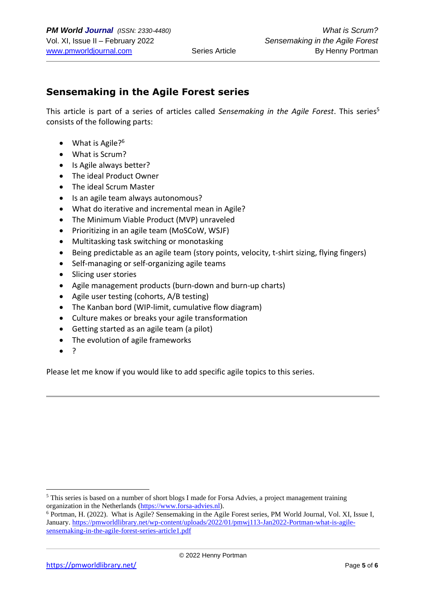### **Sensemaking in the Agile Forest series**

This article is part of a series of articles called *Sensemaking in the Agile Forest*. This series<sup>5</sup> consists of the following parts:

- What is Agile?<sup>6</sup>
- What is Scrum?
- Is Agile always better?
- The ideal Product Owner
- The ideal Scrum Master
- Is an agile team always autonomous?
- What do iterative and incremental mean in Agile?
- The Minimum Viable Product (MVP) unraveled
- Prioritizing in an agile team (MoSCoW, WSJF)
- Multitasking task switching or monotasking
- Being predictable as an agile team (story points, velocity, t-shirt sizing, flying fingers)
- Self-managing or self-organizing agile teams
- Slicing user stories
- Agile management products (burn-down and burn-up charts)
- Agile user testing (cohorts, A/B testing)
- The Kanban bord (WIP-limit, cumulative flow diagram)
- Culture makes or breaks your agile transformation
- Getting started as an agile team (a pilot)
- The evolution of agile frameworks
- ?

Please let me know if you would like to add specific agile topics to this series.

<sup>5</sup> This series is based on a number of short blogs I made for Forsa Advies, a project management training organization in the Netherlands [\(https://www.forsa-advies.nl\)](https://www.forsa-advies.nl/).

<sup>6</sup> Portman, H. (2022). What is Agile? Sensemaking in the Agile Forest series, PM World Journal, Vol. XI, Issue I, January. [https://pmworldlibrary.net/wp-content/uploads/2022/01/pmwj113-Jan2022-Portman-what-is-agile](https://pmworldlibrary.net/wp-content/uploads/2022/01/pmwj113-Jan2022-Portman-what-is-agile-sensemaking-in-the-agile-forest-series-article1.pdf)[sensemaking-in-the-agile-forest-series-article1.pdf](https://pmworldlibrary.net/wp-content/uploads/2022/01/pmwj113-Jan2022-Portman-what-is-agile-sensemaking-in-the-agile-forest-series-article1.pdf)